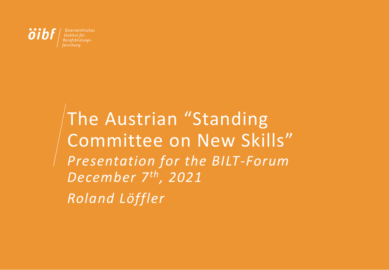

The Austrian "Standing Committee on New Skills" *Presentation for the BILT-Forum December 7th, 2021 Roland Löffler*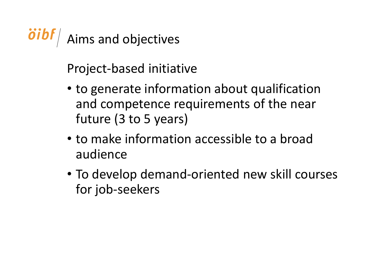oibf/ Aims and objectives

Project-based initiative

- to generate information about qualification and competence requirements of the near future (3 to 5 years)
- to make information accessible to a broad audience
- To develop demand-oriented new skill courses for job-seekers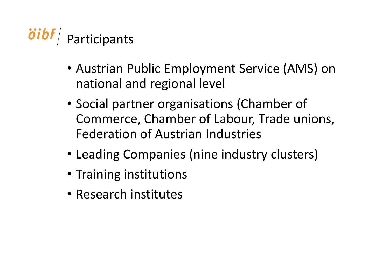

- Austrian Public Employment Service (AMS) on national and regional level
- Social partner organisations (Chamber of Commerce, Chamber of Labour, Trade unions, Federation of Austrian Industries
- Leading Companies (nine industry clusters)
- Training institutions
- Research institutes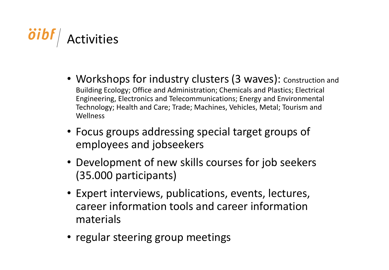

- Workshops for industry clusters (3 waves): Construction and Building Ecology; Office and Administration; Chemicals and Plastics; Electrical Engineering, Electronics and Telecommunications; Energy and Environmental Technology; Health and Care; Trade; Machines, Vehicles, Metal; Tourism and Wellness
- Focus groups addressing special target groups of employees and jobseekers
- Development of new skills courses for job seekers (35.000 participants)
- Expert interviews, publications, events, lectures, career information tools and career information materials
- regular steering group meetings